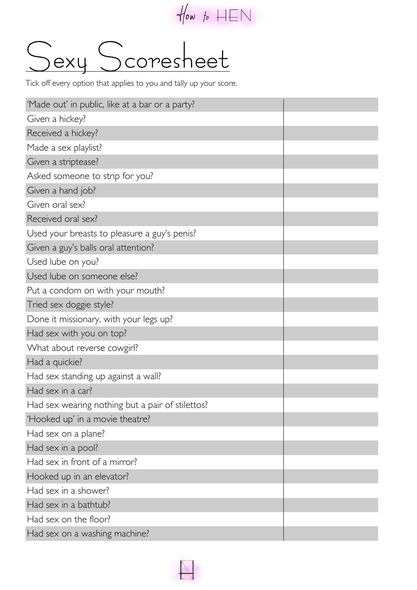

## Alow to HEN<br>
exy Scoresheet

Tick off every option that applies to you and tally up your score.

| 'Made out' in public, like at a bar or a party?  |  |
|--------------------------------------------------|--|
| Given a hickey?                                  |  |
| Received a hickey?                               |  |
| Made a sex playlist?                             |  |
| Given a striptease?                              |  |
| Asked someone to strip for you?                  |  |
| Given a hand job?                                |  |
| Given oral sex?                                  |  |
| Received oral sex?                               |  |
| Used your breasts to pleasure a guy's penis?     |  |
| Given a guy's balls oral attention?              |  |
| Used lube on you?                                |  |
| Used lube on someone else?                       |  |
| Put a condom on with your mouth?                 |  |
| Tried sex doggie style?                          |  |
| Done it missionary, with your legs up?           |  |
| Had sex with you on top?                         |  |
| What about reverse cowgirl?                      |  |
| Had a quickie?                                   |  |
| Had sex standing up against a wall?              |  |
| Had sex in a car?                                |  |
| Had sex wearing nothing but a pair of stilettos? |  |
| 'Hooked up' in a movie theatre?                  |  |
| Had sex on a plane?                              |  |
| Had sex in a pool?                               |  |
| Had sex in front of a mirror?                    |  |
| Hooked up in an elevator?                        |  |
| Had sex in a shower?                             |  |
| Had sex in a bathtub?                            |  |
| Had sex on the floor?                            |  |
| Had sex on a washing machine?                    |  |

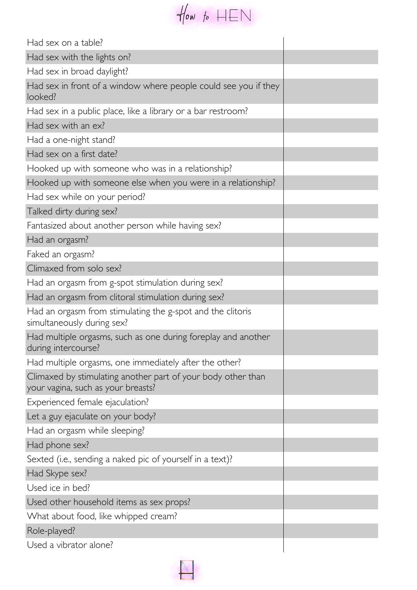

| Had sex on a table?                                                                                |  |
|----------------------------------------------------------------------------------------------------|--|
| Had sex with the lights on?                                                                        |  |
| Had sex in broad daylight?                                                                         |  |
| Had sex in front of a window where people could see you if they<br>looked?                         |  |
| Had sex in a public place, like a library or a bar restroom?                                       |  |
| Had sex with an ex?                                                                                |  |
| Had a one-night stand?                                                                             |  |
| Had sex on a first date?                                                                           |  |
| Hooked up with someone who was in a relationship?                                                  |  |
| Hooked up with someone else when you were in a relationship?                                       |  |
| Had sex while on your period?                                                                      |  |
| Talked dirty during sex?                                                                           |  |
| Fantasized about another person while having sex?                                                  |  |
| Had an orgasm?                                                                                     |  |
| Faked an orgasm?                                                                                   |  |
| Climaxed from solo sex?                                                                            |  |
| Had an orgasm from g-spot stimulation during sex?                                                  |  |
| Had an orgasm from clitoral stimulation during sex?                                                |  |
| Had an orgasm from stimulating the g-spot and the clitoris<br>simultaneously during sex?           |  |
| Had multiple orgasms, such as one during foreplay and another<br>during intercourse?               |  |
| Had multiple orgasms, one immediately after the other?                                             |  |
| Climaxed by stimulating another part of your body other than<br>your vagina, such as your breasts? |  |
| Experienced female ejaculation?                                                                    |  |
| Let a guy ejaculate on your body?                                                                  |  |
| Had an orgasm while sleeping?                                                                      |  |
| Had phone sex?                                                                                     |  |
| Sexted (i.e., sending a naked pic of yourself in a text)?                                          |  |
| Had Skype sex?                                                                                     |  |
| Used ice in bed?                                                                                   |  |
| Used other household items as sex props?                                                           |  |
| What about food, like whipped cream?                                                               |  |
| Role-played?                                                                                       |  |
| Used a vibrator alone?                                                                             |  |